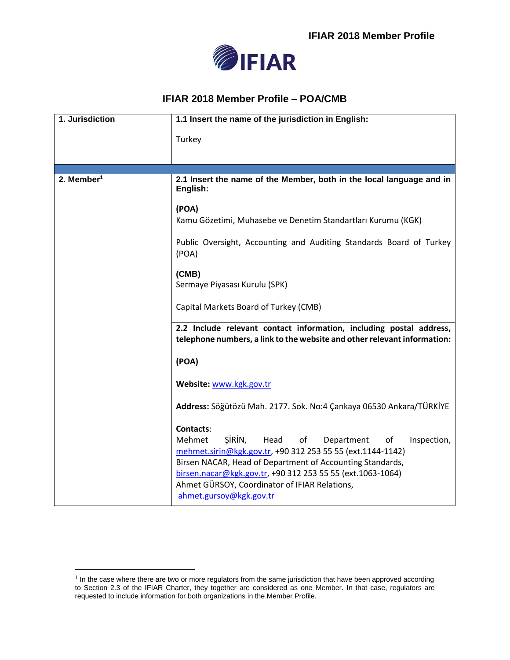

## **IFIAR 2018 Member Profile – POA/CMB**

| 1. Jurisdiction        | 1.1 Insert the name of the jurisdiction in English:                                                                                                                      |
|------------------------|--------------------------------------------------------------------------------------------------------------------------------------------------------------------------|
|                        | Turkey                                                                                                                                                                   |
|                        |                                                                                                                                                                          |
|                        |                                                                                                                                                                          |
| 2. Member <sup>1</sup> | 2.1 Insert the name of the Member, both in the local language and in<br>English:                                                                                         |
|                        | (POA)                                                                                                                                                                    |
|                        | Kamu Gözetimi, Muhasebe ve Denetim Standartları Kurumu (KGK)                                                                                                             |
|                        | Public Oversight, Accounting and Auditing Standards Board of Turkey<br>(POA)                                                                                             |
|                        | (CMB)<br>Sermaye Piyasası Kurulu (SPK)                                                                                                                                   |
|                        | Capital Markets Board of Turkey (CMB)                                                                                                                                    |
|                        | 2.2 Include relevant contact information, including postal address,<br>telephone numbers, a link to the website and other relevant information:                          |
|                        | (POA)                                                                                                                                                                    |
|                        | Website: www.kgk.gov.tr                                                                                                                                                  |
|                        | Address: Söğütözü Mah. 2177. Sok. No:4 Çankaya 06530 Ankara/TÜRKİYE                                                                                                      |
|                        | <b>Contacts:</b>                                                                                                                                                         |
|                        | SIRIN,<br>Head<br>Mehmet<br>of<br>Department<br>of<br>Inspection,<br>mehmet.sirin@kgk.gov.tr, +90 312 253 55 55 (ext.1144-1142)                                          |
|                        | Birsen NACAR, Head of Department of Accounting Standards,<br>birsen.nacar@kgk.gov.tr, +90 312 253 55 55 (ext.1063-1064)<br>Ahmet GÜRSOY, Coordinator of IFIAR Relations, |
|                        | ahmet.gursoy@kgk.gov.tr                                                                                                                                                  |

<sup>&</sup>lt;sup>1</sup> In the case where there are two or more regulators from the same jurisdiction that have been approved according to Section 2.3 of the IFIAR Charter, they together are considered as one Member. In that case, regulators are requested to include information for both organizations in the Member Profile.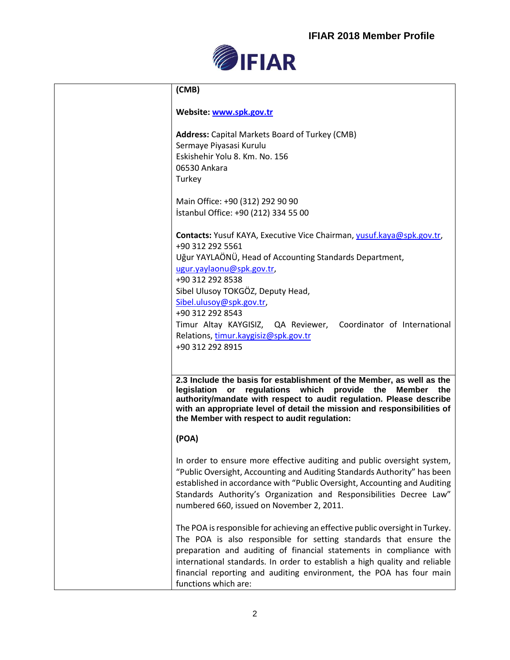

| (CMB)                                                                                                                                                                                                                                                                                                                                                                                                                     |
|---------------------------------------------------------------------------------------------------------------------------------------------------------------------------------------------------------------------------------------------------------------------------------------------------------------------------------------------------------------------------------------------------------------------------|
| Website: www.spk.gov.tr                                                                                                                                                                                                                                                                                                                                                                                                   |
| <b>Address:</b> Capital Markets Board of Turkey (CMB)<br>Sermaye Piyasasi Kurulu<br>Eskishehir Yolu 8. Km. No. 156<br>06530 Ankara<br>Turkey                                                                                                                                                                                                                                                                              |
| Main Office: +90 (312) 292 90 90<br>İstanbul Office: +90 (212) 334 55 00                                                                                                                                                                                                                                                                                                                                                  |
| Contacts: Yusuf KAYA, Executive Vice Chairman, yusuf.kaya@spk.gov.tr,<br>+90 312 292 5561<br>Uğur YAYLAÖNÜ, Head of Accounting Standards Department,<br>ugur.yaylaonu@spk.gov.tr,<br>+90 312 292 8538<br>Sibel Ulusoy TOKGÖZ, Deputy Head,<br>Sibel.ulusoy@spk.gov.tr,<br>+90 312 292 8543<br>Timur Altay KAYGISIZ, QA Reviewer, Coordinator of International<br>Relations, timur.kaygisiz@spk.gov.tr<br>+90 312 292 8915 |
| 2.3 Include the basis for establishment of the Member, as well as the<br>legislation<br>regulations which<br>provide<br>the<br><b>Member</b><br>or<br>the<br>authority/mandate with respect to audit regulation. Please describe<br>with an appropriate level of detail the mission and responsibilities of<br>the Member with respect to audit regulation:                                                               |
| (POA)                                                                                                                                                                                                                                                                                                                                                                                                                     |
| In order to ensure more effective auditing and public oversight system,<br>"Public Oversight, Accounting and Auditing Standards Authority" has been<br>established in accordance with "Public Oversight, Accounting and Auditing<br>Standards Authority's Organization and Responsibilities Decree Law"<br>numbered 660, issued on November 2, 2011.                                                                      |
| The POA is responsible for achieving an effective public oversight in Turkey.<br>The POA is also responsible for setting standards that ensure the<br>preparation and auditing of financial statements in compliance with<br>international standards. In order to establish a high quality and reliable<br>financial reporting and auditing environment, the POA has four main<br>functions which are:                    |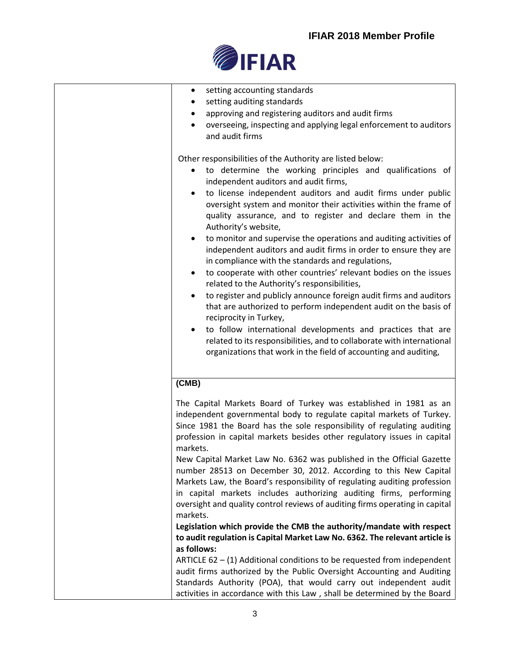

| setting accounting standards<br>٠                                               |
|---------------------------------------------------------------------------------|
| setting auditing standards                                                      |
| approving and registering auditors and audit firms                              |
| overseeing, inspecting and applying legal enforcement to auditors               |
| and audit firms                                                                 |
|                                                                                 |
| Other responsibilities of the Authority are listed below:                       |
| to determine the working principles and qualifications of<br>$\bullet$          |
| independent auditors and audit firms,                                           |
| to license independent auditors and audit firms under public                    |
| oversight system and monitor their activities within the frame of               |
| quality assurance, and to register and declare them in the                      |
| Authority's website,                                                            |
| to monitor and supervise the operations and auditing activities of<br>$\bullet$ |
| independent auditors and audit firms in order to ensure they are                |
| in compliance with the standards and regulations,                               |
| to cooperate with other countries' relevant bodies on the issues                |
| related to the Authority's responsibilities,                                    |
| to register and publicly announce foreign audit firms and auditors              |
| that are authorized to perform independent audit on the basis of                |
| reciprocity in Turkey,                                                          |
| to follow international developments and practices that are<br>$\bullet$        |
| related to its responsibilities, and to collaborate with international          |
| organizations that work in the field of accounting and auditing,                |
|                                                                                 |
|                                                                                 |
| (CMB)                                                                           |
| The Capital Markets Board of Turkey was established in 1981 as an               |
| independent governmental body to regulate capital markets of Turkey.            |
| Since 1981 the Board has the sole responsibility of regulating auditing         |
| profession in capital markets besides other regulatory issues in capital        |
| markets.                                                                        |
| New Capital Market Law No. 6362 was published in the Official Gazette           |
| number 28513 on December 30, 2012. According to this New Capital                |
| Markets Law, the Board's responsibility of regulating auditing profession       |
| in capital markets includes authorizing auditing firms, performing              |
| oversight and quality control reviews of auditing firms operating in capital    |
| markets.                                                                        |
| Legislation which provide the CMB the authority/mandate with respect            |
| to audit regulation is Capital Market Law No. 6362. The relevant article is     |
| as follows:                                                                     |
| ARTICLE $62 - (1)$ Additional conditions to be requested from independent       |
| audit firms authorized by the Public Oversight Accounting and Auditing          |
| Standards Authority (POA), that would carry out independent audit               |
| activities in accordance with this Law, shall be determined by the Board        |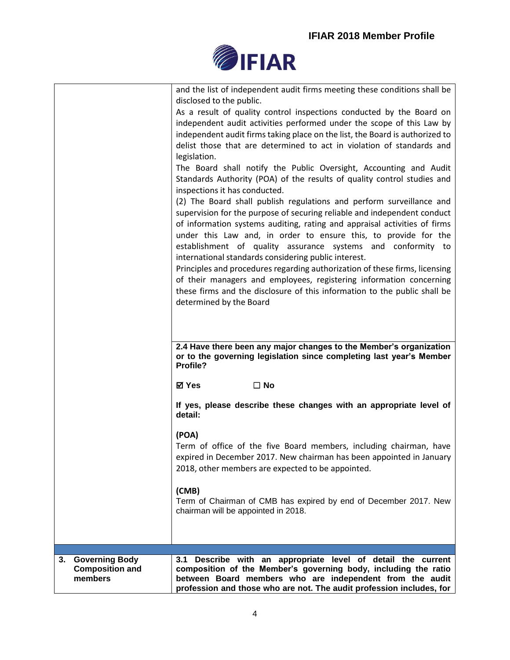

| <b>Governing Body</b><br>3.<br><b>Composition and</b><br>members | 3.1 Describe with an appropriate level of detail the current<br>composition of the Member's governing body, including the ratio<br>between Board members who are independent from the audit<br>profession and those who are not. The audit profession includes, for                                    |
|------------------------------------------------------------------|--------------------------------------------------------------------------------------------------------------------------------------------------------------------------------------------------------------------------------------------------------------------------------------------------------|
|                                                                  | Term of Chairman of CMB has expired by end of December 2017. New<br>chairman will be appointed in 2018.                                                                                                                                                                                                |
|                                                                  | (CMB)                                                                                                                                                                                                                                                                                                  |
|                                                                  | (POA)<br>Term of office of the five Board members, including chairman, have<br>expired in December 2017. New chairman has been appointed in January<br>2018, other members are expected to be appointed.                                                                                               |
|                                                                  | If yes, please describe these changes with an appropriate level of<br>detail:                                                                                                                                                                                                                          |
|                                                                  | or to the governing legislation since completing last year's Member<br>Profile?<br><b>⊠</b> Yes<br>$\square$ No                                                                                                                                                                                        |
|                                                                  | 2.4 Have there been any major changes to the Member's organization                                                                                                                                                                                                                                     |
|                                                                  | these firms and the disclosure of this information to the public shall be<br>determined by the Board                                                                                                                                                                                                   |
|                                                                  | Principles and procedures regarding authorization of these firms, licensing<br>of their managers and employees, registering information concerning                                                                                                                                                     |
|                                                                  | under this Law and, in order to ensure this, to provide for the<br>establishment of quality assurance systems and conformity to<br>international standards considering public interest.                                                                                                                |
|                                                                  | (2) The Board shall publish regulations and perform surveillance and<br>supervision for the purpose of securing reliable and independent conduct<br>of information systems auditing, rating and appraisal activities of firms                                                                          |
|                                                                  | legislation.<br>The Board shall notify the Public Oversight, Accounting and Audit<br>Standards Authority (POA) of the results of quality control studies and<br>inspections it has conducted.                                                                                                          |
|                                                                  | As a result of quality control inspections conducted by the Board on<br>independent audit activities performed under the scope of this Law by<br>independent audit firms taking place on the list, the Board is authorized to<br>delist those that are determined to act in violation of standards and |
|                                                                  | and the list of independent audit firms meeting these conditions shall be<br>disclosed to the public.                                                                                                                                                                                                  |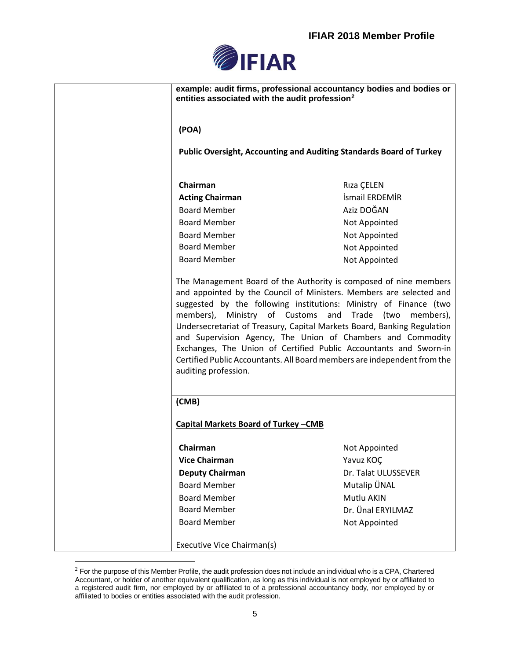

| example: audit firms, professional accountancy bodies and bodies or<br>entities associated with the audit profession <sup>2</sup>                                                                                                                                                                                                                                                                                                                                                                                                                                                             |                     |
|-----------------------------------------------------------------------------------------------------------------------------------------------------------------------------------------------------------------------------------------------------------------------------------------------------------------------------------------------------------------------------------------------------------------------------------------------------------------------------------------------------------------------------------------------------------------------------------------------|---------------------|
| (POA)                                                                                                                                                                                                                                                                                                                                                                                                                                                                                                                                                                                         |                     |
| Public Oversight, Accounting and Auditing Standards Board of Turkey                                                                                                                                                                                                                                                                                                                                                                                                                                                                                                                           |                     |
| Chairman                                                                                                                                                                                                                                                                                                                                                                                                                                                                                                                                                                                      | Riza CELEN          |
| <b>Acting Chairman</b>                                                                                                                                                                                                                                                                                                                                                                                                                                                                                                                                                                        | İsmail ERDEMİR      |
| <b>Board Member</b>                                                                                                                                                                                                                                                                                                                                                                                                                                                                                                                                                                           | Aziz DOĞAN          |
| <b>Board Member</b>                                                                                                                                                                                                                                                                                                                                                                                                                                                                                                                                                                           | Not Appointed       |
| <b>Board Member</b>                                                                                                                                                                                                                                                                                                                                                                                                                                                                                                                                                                           | Not Appointed       |
| <b>Board Member</b>                                                                                                                                                                                                                                                                                                                                                                                                                                                                                                                                                                           | Not Appointed       |
| <b>Board Member</b>                                                                                                                                                                                                                                                                                                                                                                                                                                                                                                                                                                           | Not Appointed       |
| The Management Board of the Authority is composed of nine members<br>and appointed by the Council of Ministers. Members are selected and<br>suggested by the following institutions: Ministry of Finance (two<br>members), Ministry of Customs and Trade (two<br>members),<br>Undersecretariat of Treasury, Capital Markets Board, Banking Regulation<br>and Supervision Agency, The Union of Chambers and Commodity<br>Exchanges, The Union of Certified Public Accountants and Sworn-in<br>Certified Public Accountants. All Board members are independent from the<br>auditing profession. |                     |
| (CMB)                                                                                                                                                                                                                                                                                                                                                                                                                                                                                                                                                                                         |                     |
| <b>Capital Markets Board of Turkey -CMB</b>                                                                                                                                                                                                                                                                                                                                                                                                                                                                                                                                                   |                     |
| Chairman                                                                                                                                                                                                                                                                                                                                                                                                                                                                                                                                                                                      | Not Appointed       |
| <b>Vice Chairman</b>                                                                                                                                                                                                                                                                                                                                                                                                                                                                                                                                                                          | Yavuz KOC           |
| <b>Deputy Chairman</b>                                                                                                                                                                                                                                                                                                                                                                                                                                                                                                                                                                        | Dr. Talat ULUSSEVER |
| <b>Board Member</b>                                                                                                                                                                                                                                                                                                                                                                                                                                                                                                                                                                           | Mutalip ÜNAL        |
| <b>Board Member</b>                                                                                                                                                                                                                                                                                                                                                                                                                                                                                                                                                                           | Mutlu AKIN          |
| <b>Board Member</b>                                                                                                                                                                                                                                                                                                                                                                                                                                                                                                                                                                           | Dr. Ünal ERYILMAZ   |
| <b>Board Member</b>                                                                                                                                                                                                                                                                                                                                                                                                                                                                                                                                                                           | Not Appointed       |
| Executive Vice Chairman(s)                                                                                                                                                                                                                                                                                                                                                                                                                                                                                                                                                                    |                     |

 $2$  For the purpose of this Member Profile, the audit profession does not include an individual who is a CPA, Chartered Accountant, or holder of another equivalent qualification, as long as this individual is not employed by or affiliated to a registered audit firm, nor employed by or affiliated to of a professional accountancy body, nor employed by or affiliated to bodies or entities associated with the audit profession.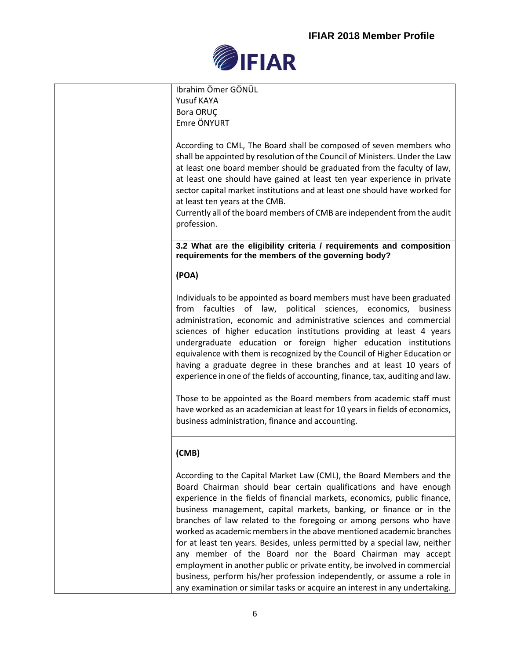

| Ibrahim Ömer GÖNÜL<br>Yusuf KAYA<br>Bora ORUÇ<br>Emre ÖNYURT                                                                                                                                                                                                                                                                                                                                                                                                                                                                                                                                                                                                                                                                                                                                                                  |
|-------------------------------------------------------------------------------------------------------------------------------------------------------------------------------------------------------------------------------------------------------------------------------------------------------------------------------------------------------------------------------------------------------------------------------------------------------------------------------------------------------------------------------------------------------------------------------------------------------------------------------------------------------------------------------------------------------------------------------------------------------------------------------------------------------------------------------|
| According to CML, The Board shall be composed of seven members who<br>shall be appointed by resolution of the Council of Ministers. Under the Law<br>at least one board member should be graduated from the faculty of law,<br>at least one should have gained at least ten year experience in private<br>sector capital market institutions and at least one should have worked for<br>at least ten years at the CMB.<br>Currently all of the board members of CMB are independent from the audit<br>profession.                                                                                                                                                                                                                                                                                                             |
| 3.2 What are the eligibility criteria / requirements and composition<br>requirements for the members of the governing body?                                                                                                                                                                                                                                                                                                                                                                                                                                                                                                                                                                                                                                                                                                   |
| (POA)                                                                                                                                                                                                                                                                                                                                                                                                                                                                                                                                                                                                                                                                                                                                                                                                                         |
| Individuals to be appointed as board members must have been graduated<br>from faculties of law, political sciences, economics,<br>business<br>administration, economic and administrative sciences and commercial<br>sciences of higher education institutions providing at least 4 years<br>undergraduate education or foreign higher education institutions<br>equivalence with them is recognized by the Council of Higher Education or<br>having a graduate degree in these branches and at least 10 years of<br>experience in one of the fields of accounting, finance, tax, auditing and law.<br>Those to be appointed as the Board members from academic staff must<br>have worked as an academician at least for 10 years in fields of economics,<br>business administration, finance and accounting.                 |
| (CMB)                                                                                                                                                                                                                                                                                                                                                                                                                                                                                                                                                                                                                                                                                                                                                                                                                         |
| According to the Capital Market Law (CML), the Board Members and the<br>Board Chairman should bear certain qualifications and have enough<br>experience in the fields of financial markets, economics, public finance,<br>business management, capital markets, banking, or finance or in the<br>branches of law related to the foregoing or among persons who have<br>worked as academic members in the above mentioned academic branches<br>for at least ten years. Besides, unless permitted by a special law, neither<br>any member of the Board nor the Board Chairman may accept<br>employment in another public or private entity, be involved in commercial<br>business, perform his/her profession independently, or assume a role in<br>any examination or similar tasks or acquire an interest in any undertaking. |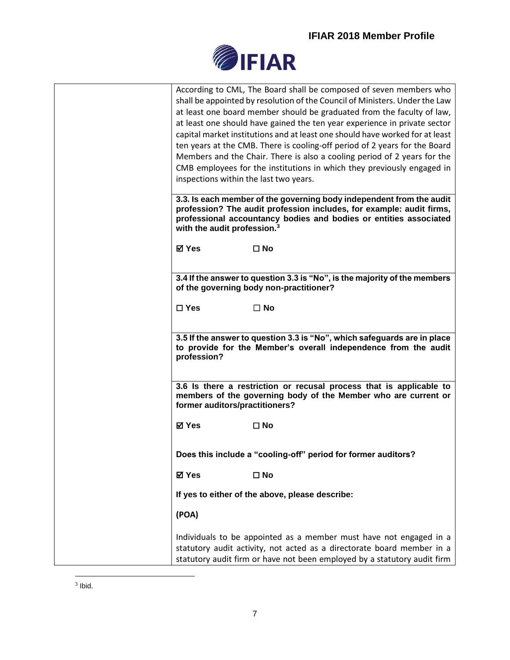

| According to CML, The Board shall be composed of seven members who<br>shall be appointed by resolution of the Council of Ministers. Under the Law<br>at least one board member should be graduated from the faculty of law,<br>at least one should have gained the ten year experience in private sector<br>capital market institutions and at least one should have worked for at least<br>ten years at the CMB. There is cooling-off period of 2 years for the Board<br>Members and the Chair. There is also a cooling period of 2 years for the<br>CMB employees for the institutions in which they previously engaged in<br>inspections within the last two years.<br>3.3. Is each member of the governing body independent from the audit |
|------------------------------------------------------------------------------------------------------------------------------------------------------------------------------------------------------------------------------------------------------------------------------------------------------------------------------------------------------------------------------------------------------------------------------------------------------------------------------------------------------------------------------------------------------------------------------------------------------------------------------------------------------------------------------------------------------------------------------------------------|
| profession? The audit profession includes, for example: audit firms,<br>professional accountancy bodies and bodies or entities associated<br>with the audit profession. <sup>3</sup>                                                                                                                                                                                                                                                                                                                                                                                                                                                                                                                                                           |
| <b>⊠</b> Yes<br>$\square$ No                                                                                                                                                                                                                                                                                                                                                                                                                                                                                                                                                                                                                                                                                                                   |
| 3.4 If the answer to question 3.3 is "No", is the majority of the members<br>of the governing body non-practitioner?                                                                                                                                                                                                                                                                                                                                                                                                                                                                                                                                                                                                                           |
| $\square$ Yes<br>$\Box$ No                                                                                                                                                                                                                                                                                                                                                                                                                                                                                                                                                                                                                                                                                                                     |
| 3.5 If the answer to question 3.3 is "No", which safeguards are in place<br>to provide for the Member's overall independence from the audit<br>profession?                                                                                                                                                                                                                                                                                                                                                                                                                                                                                                                                                                                     |
| 3.6 Is there a restriction or recusal process that is applicable to<br>members of the governing body of the Member who are current or<br>former auditors/practitioners?                                                                                                                                                                                                                                                                                                                                                                                                                                                                                                                                                                        |
| <b>⊠</b> Yes<br>$\square$ No                                                                                                                                                                                                                                                                                                                                                                                                                                                                                                                                                                                                                                                                                                                   |
| Does this include a "cooling-off" period for former auditors?                                                                                                                                                                                                                                                                                                                                                                                                                                                                                                                                                                                                                                                                                  |
| <b>⊠</b> Yes<br>$\square$ No                                                                                                                                                                                                                                                                                                                                                                                                                                                                                                                                                                                                                                                                                                                   |
| If yes to either of the above, please describe:                                                                                                                                                                                                                                                                                                                                                                                                                                                                                                                                                                                                                                                                                                |
| (POA)                                                                                                                                                                                                                                                                                                                                                                                                                                                                                                                                                                                                                                                                                                                                          |
| Individuals to be appointed as a member must have not engaged in a<br>statutory audit activity, not acted as a directorate board member in a<br>statutory audit firm or have not been employed by a statutory audit firm                                                                                                                                                                                                                                                                                                                                                                                                                                                                                                                       |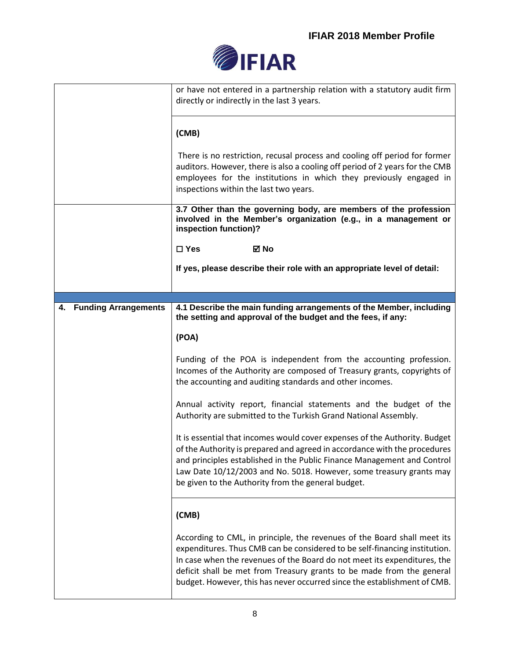

|                                   | or have not entered in a partnership relation with a statutory audit firm<br>directly or indirectly in the last 3 years.                                                                                                                                                                                                                                                                |
|-----------------------------------|-----------------------------------------------------------------------------------------------------------------------------------------------------------------------------------------------------------------------------------------------------------------------------------------------------------------------------------------------------------------------------------------|
|                                   | (CMB)                                                                                                                                                                                                                                                                                                                                                                                   |
|                                   | There is no restriction, recusal process and cooling off period for former<br>auditors. However, there is also a cooling off period of 2 years for the CMB<br>employees for the institutions in which they previously engaged in<br>inspections within the last two years.                                                                                                              |
|                                   | 3.7 Other than the governing body, are members of the profession<br>involved in the Member's organization (e.g., in a management or<br>inspection function)?                                                                                                                                                                                                                            |
|                                   | $\square$ Yes<br>⊠ No                                                                                                                                                                                                                                                                                                                                                                   |
|                                   | If yes, please describe their role with an appropriate level of detail:                                                                                                                                                                                                                                                                                                                 |
|                                   |                                                                                                                                                                                                                                                                                                                                                                                         |
| <b>Funding Arrangements</b><br>4. | 4.1 Describe the main funding arrangements of the Member, including<br>the setting and approval of the budget and the fees, if any:                                                                                                                                                                                                                                                     |
|                                   | (POA)                                                                                                                                                                                                                                                                                                                                                                                   |
|                                   | Funding of the POA is independent from the accounting profession.<br>Incomes of the Authority are composed of Treasury grants, copyrights of<br>the accounting and auditing standards and other incomes.                                                                                                                                                                                |
|                                   | Annual activity report, financial statements and the budget of the<br>Authority are submitted to the Turkish Grand National Assembly.                                                                                                                                                                                                                                                   |
|                                   | It is essential that incomes would cover expenses of the Authority. Budget<br>of the Authority is prepared and agreed in accordance with the procedures<br>and principles established in the Public Finance Management and Control<br>Law Date 10/12/2003 and No. 5018. However, some treasury grants may<br>be given to the Authority from the general budget.                         |
|                                   | (CMB)                                                                                                                                                                                                                                                                                                                                                                                   |
|                                   | According to CML, in principle, the revenues of the Board shall meet its<br>expenditures. Thus CMB can be considered to be self-financing institution.<br>In case when the revenues of the Board do not meet its expenditures, the<br>deficit shall be met from Treasury grants to be made from the general<br>budget. However, this has never occurred since the establishment of CMB. |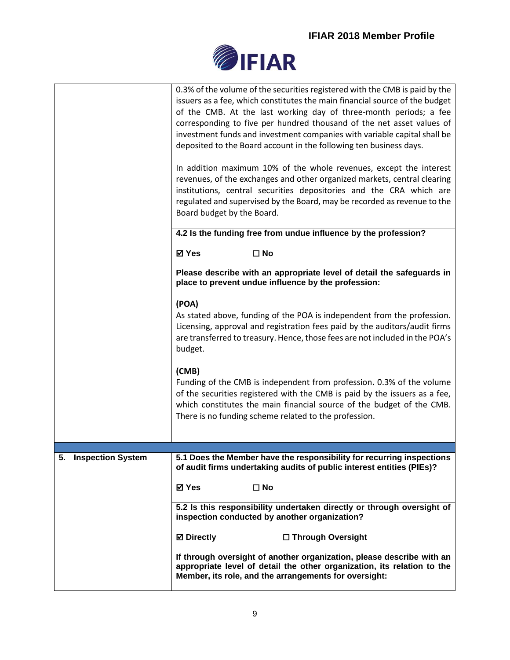

|                      | 0.3% of the volume of the securities registered with the CMB is paid by the<br>issuers as a fee, which constitutes the main financial source of the budget<br>of the CMB. At the last working day of three-month periods; a fee<br>corresponding to five per hundred thousand of the net asset values of<br>investment funds and investment companies with variable capital shall be<br>deposited to the Board account in the following ten business days.<br>In addition maximum 10% of the whole revenues, except the interest<br>revenues, of the exchanges and other organized markets, central clearing<br>institutions, central securities depositories and the CRA which are<br>regulated and supervised by the Board, may be recorded as revenue to the<br>Board budget by the Board. |
|----------------------|-----------------------------------------------------------------------------------------------------------------------------------------------------------------------------------------------------------------------------------------------------------------------------------------------------------------------------------------------------------------------------------------------------------------------------------------------------------------------------------------------------------------------------------------------------------------------------------------------------------------------------------------------------------------------------------------------------------------------------------------------------------------------------------------------|
|                      | 4.2 Is the funding free from undue influence by the profession?                                                                                                                                                                                                                                                                                                                                                                                                                                                                                                                                                                                                                                                                                                                               |
|                      | <b>⊠</b> Yes<br>$\square$ No                                                                                                                                                                                                                                                                                                                                                                                                                                                                                                                                                                                                                                                                                                                                                                  |
|                      | Please describe with an appropriate level of detail the safeguards in<br>place to prevent undue influence by the profession:                                                                                                                                                                                                                                                                                                                                                                                                                                                                                                                                                                                                                                                                  |
|                      | (POA)<br>As stated above, funding of the POA is independent from the profession.<br>Licensing, approval and registration fees paid by the auditors/audit firms<br>are transferred to treasury. Hence, those fees are not included in the POA's<br>budget.                                                                                                                                                                                                                                                                                                                                                                                                                                                                                                                                     |
|                      | (CMB)<br>Funding of the CMB is independent from profession. 0.3% of the volume<br>of the securities registered with the CMB is paid by the issuers as a fee,<br>which constitutes the main financial source of the budget of the CMB.<br>There is no funding scheme related to the profession.                                                                                                                                                                                                                                                                                                                                                                                                                                                                                                |
|                      |                                                                                                                                                                                                                                                                                                                                                                                                                                                                                                                                                                                                                                                                                                                                                                                               |
| 5. Inspection System | 5.1 Does the Member have the responsibility for recurring inspections<br>of audit firms undertaking audits of public interest entities (PIEs)?                                                                                                                                                                                                                                                                                                                                                                                                                                                                                                                                                                                                                                                |
|                      | ⊠ Yes<br>$\square$ No                                                                                                                                                                                                                                                                                                                                                                                                                                                                                                                                                                                                                                                                                                                                                                         |
|                      | 5.2 Is this responsibility undertaken directly or through oversight of<br>inspection conducted by another organization?                                                                                                                                                                                                                                                                                                                                                                                                                                                                                                                                                                                                                                                                       |
|                      | <b>⊠</b> Directly<br>□ Through Oversight                                                                                                                                                                                                                                                                                                                                                                                                                                                                                                                                                                                                                                                                                                                                                      |
|                      | If through oversight of another organization, please describe with an<br>appropriate level of detail the other organization, its relation to the<br>Member, its role, and the arrangements for oversight:                                                                                                                                                                                                                                                                                                                                                                                                                                                                                                                                                                                     |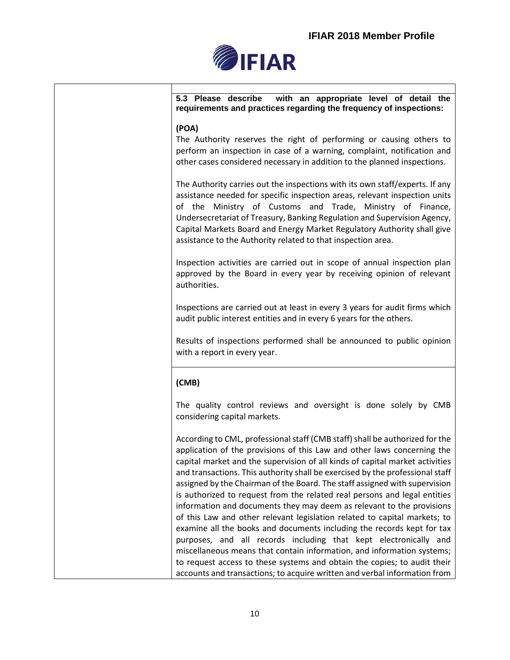

**5.3 Please describe with an appropriate level of detail the requirements and practices regarding the frequency of inspections:**

## **(POA)**

The Authority reserves the right of performing or causing others to perform an inspection in case of a warning, complaint, notification and other cases considered necessary in addition to the planned inspections.

The Authority carries out the inspections with its own staff/experts. If any assistance needed for specific inspection areas, relevant inspection units of the Ministry of Customs and Trade, Ministry of Finance, Undersecretariat of Treasury, Banking Regulation and Supervision Agency, Capital Markets Board and Energy Market Regulatory Authority shall give assistance to the Authority related to that inspection area.

Inspection activities are carried out in scope of annual inspection plan approved by the Board in every year by receiving opinion of relevant authorities.

Inspections are carried out at least in every 3 years for audit firms which audit public interest entities and in every 6 years for the others.

Results of inspections performed shall be announced to public opinion with a report in every year.

## **(CMB)**

The quality control reviews and oversight is done solely by CMB considering capital markets.

According to CML, professional staff (CMB staff) shall be authorized for the application of the provisions of this Law and other laws concerning the capital market and the supervision of all kinds of capital market activities and transactions. This authority shall be exercised by the professional staff assigned by the Chairman of the Board. The staff assigned with supervision is authorized to request from the related real persons and legal entities information and documents they may deem as relevant to the provisions of this Law and other relevant legislation related to capital markets; to examine all the books and documents including the records kept for tax purposes, and all records including that kept electronically and miscellaneous means that contain information, and information systems; to request access to these systems and obtain the copies; to audit their accounts and transactions; to acquire written and verbal information from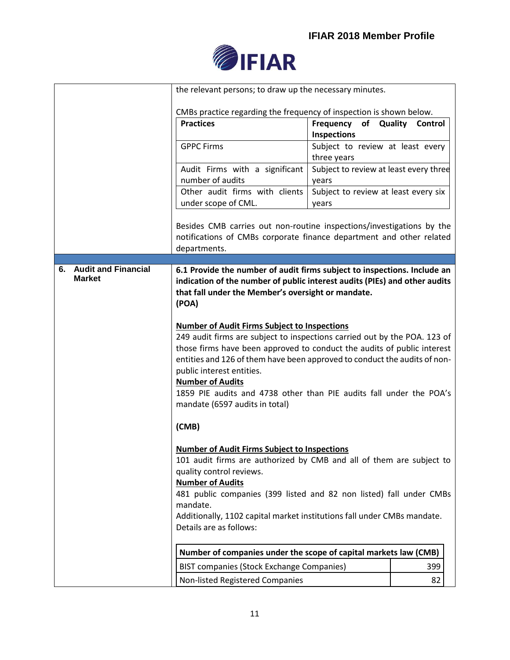

|                        | the relevant persons; to draw up the necessary minutes.                                                                                                                                                                                                                                                                                                                                                                                                   |                                                 |                           |
|------------------------|-----------------------------------------------------------------------------------------------------------------------------------------------------------------------------------------------------------------------------------------------------------------------------------------------------------------------------------------------------------------------------------------------------------------------------------------------------------|-------------------------------------------------|---------------------------|
|                        | CMBs practice regarding the frequency of inspection is shown below.                                                                                                                                                                                                                                                                                                                                                                                       |                                                 |                           |
|                        | <b>Practices</b>                                                                                                                                                                                                                                                                                                                                                                                                                                          | of<br>Frequency<br>Inspections                  | Quality<br><b>Control</b> |
|                        | <b>GPPC Firms</b>                                                                                                                                                                                                                                                                                                                                                                                                                                         | Subject to review at least every<br>three years |                           |
|                        | Audit Firms with a significant<br>number of audits                                                                                                                                                                                                                                                                                                                                                                                                        | Subject to review at least every three<br>years |                           |
|                        | Other audit firms with clients<br>under scope of CML.                                                                                                                                                                                                                                                                                                                                                                                                     | Subject to review at least every six<br>years   |                           |
|                        | Besides CMB carries out non-routine inspections/investigations by the<br>notifications of CMBs corporate finance department and other related<br>departments.                                                                                                                                                                                                                                                                                             |                                                 |                           |
| 6. Audit and Financial | 6.1 Provide the number of audit firms subject to inspections. Include an                                                                                                                                                                                                                                                                                                                                                                                  |                                                 |                           |
| <b>Market</b>          | indication of the number of public interest audits (PIEs) and other audits<br>that fall under the Member's oversight or mandate.<br>(POA)                                                                                                                                                                                                                                                                                                                 |                                                 |                           |
|                        | <b>Number of Audit Firms Subject to Inspections</b><br>249 audit firms are subject to inspections carried out by the POA. 123 of<br>those firms have been approved to conduct the audits of public interest<br>entities and 126 of them have been approved to conduct the audits of non-<br>public interest entities.<br><b>Number of Audits</b><br>1859 PIE audits and 4738 other than PIE audits fall under the POA's<br>mandate (6597 audits in total) |                                                 |                           |
|                        | (CMB)                                                                                                                                                                                                                                                                                                                                                                                                                                                     |                                                 |                           |
|                        | <b>Number of Audit Firms Subject to Inspections</b><br>101 audit firms are authorized by CMB and all of them are subject to<br>quality control reviews.<br><b>Number of Audits</b><br>481 public companies (399 listed and 82 non listed) fall under CMBs<br>mandate.<br>Additionally, 1102 capital market institutions fall under CMBs mandate.<br>Details are as follows:                                                                               |                                                 |                           |
|                        | Number of companies under the scope of capital markets law (CMB)                                                                                                                                                                                                                                                                                                                                                                                          |                                                 |                           |
|                        | <b>BIST companies (Stock Exchange Companies)</b>                                                                                                                                                                                                                                                                                                                                                                                                          |                                                 | 399                       |
|                        | Non-listed Registered Companies                                                                                                                                                                                                                                                                                                                                                                                                                           |                                                 | 82                        |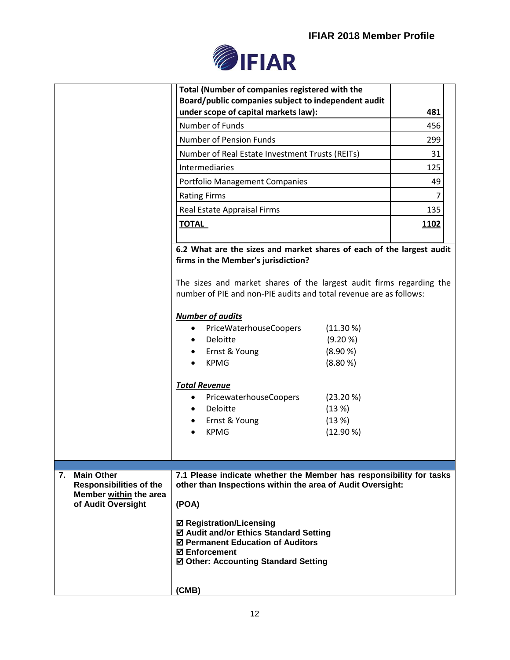

|                                                                                                           | Total (Number of companies registered with the<br>Board/public companies subject to independent audit<br>under scope of capital markets law):<br>Number of Funds<br><b>Number of Pension Funds</b><br>Number of Real Estate Investment Trusts (REITs)                                                                                                                                                                                                                                                                                                                      | 481<br>456<br>299<br>31 |
|-----------------------------------------------------------------------------------------------------------|----------------------------------------------------------------------------------------------------------------------------------------------------------------------------------------------------------------------------------------------------------------------------------------------------------------------------------------------------------------------------------------------------------------------------------------------------------------------------------------------------------------------------------------------------------------------------|-------------------------|
|                                                                                                           | Intermediaries                                                                                                                                                                                                                                                                                                                                                                                                                                                                                                                                                             | 125                     |
|                                                                                                           | <b>Portfolio Management Companies</b>                                                                                                                                                                                                                                                                                                                                                                                                                                                                                                                                      | 49                      |
|                                                                                                           | <b>Rating Firms</b>                                                                                                                                                                                                                                                                                                                                                                                                                                                                                                                                                        | 7                       |
|                                                                                                           | Real Estate Appraisal Firms                                                                                                                                                                                                                                                                                                                                                                                                                                                                                                                                                | 135                     |
|                                                                                                           | <b>TOTAL</b>                                                                                                                                                                                                                                                                                                                                                                                                                                                                                                                                                               | 1102                    |
|                                                                                                           | 6.2 What are the sizes and market shares of each of the largest audit<br>firms in the Member's jurisdiction?<br>The sizes and market shares of the largest audit firms regarding the<br>number of PIE and non-PIE audits and total revenue are as follows:<br><b>Number of audits</b><br>PriceWaterhouseCoopers<br>$(11.30\%)$<br>$\bullet$<br>Deloitte<br>(9.20 %)<br>Ernst & Young<br>(8.90%<br><b>KPMG</b><br>(8.80%<br><b>Total Revenue</b><br>PricewaterhouseCoopers<br>$(23.20\%)$<br>٠<br>Deloitte<br>(13%)<br>Ernst & Young<br>(13%)<br><b>KPMG</b><br>$(12.90\%)$ |                         |
| <b>Main Other</b><br>7.<br><b>Responsibilities of the</b><br>Member within the area<br>of Audit Oversight | 7.1 Please indicate whether the Member has responsibility for tasks<br>other than Inspections within the area of Audit Oversight:<br>(POA)<br><b>Ø Registration/Licensing</b><br>☑ Audit and/or Ethics Standard Setting<br>☑ Permanent Education of Auditors<br><b>☑ Enforcement</b><br>☑ Other: Accounting Standard Setting<br>(CMB)                                                                                                                                                                                                                                      |                         |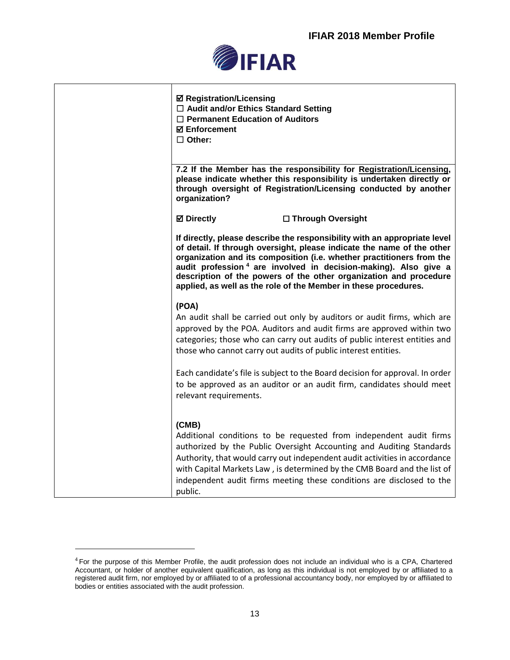

| <b>Ø Registration/Licensing</b><br>$\Box$ Audit and/or Ethics Standard Setting<br>$\Box$ Permanent Education of Auditors<br><b>Ø</b> Enforcement<br>$\Box$ Other:                                                                                                                                                                                                                                                                                   |
|-----------------------------------------------------------------------------------------------------------------------------------------------------------------------------------------------------------------------------------------------------------------------------------------------------------------------------------------------------------------------------------------------------------------------------------------------------|
| 7.2 If the Member has the responsibility for Registration/Licensing,<br>please indicate whether this responsibility is undertaken directly or<br>through oversight of Registration/Licensing conducted by another<br>organization?                                                                                                                                                                                                                  |
| <b>⊠</b> Directly<br>□ Through Oversight                                                                                                                                                                                                                                                                                                                                                                                                            |
| If directly, please describe the responsibility with an appropriate level<br>of detail. If through oversight, please indicate the name of the other<br>organization and its composition (i.e. whether practitioners from the<br>audit profession <sup>4</sup> are involved in decision-making). Also give a<br>description of the powers of the other organization and procedure<br>applied, as well as the role of the Member in these procedures. |
| (POA)<br>An audit shall be carried out only by auditors or audit firms, which are<br>approved by the POA. Auditors and audit firms are approved within two<br>categories; those who can carry out audits of public interest entities and<br>those who cannot carry out audits of public interest entities.                                                                                                                                          |
| Each candidate's file is subject to the Board decision for approval. In order<br>to be approved as an auditor or an audit firm, candidates should meet<br>relevant requirements.                                                                                                                                                                                                                                                                    |
| (CMB)<br>Additional conditions to be requested from independent audit firms<br>authorized by the Public Oversight Accounting and Auditing Standards<br>Authority, that would carry out independent audit activities in accordance<br>with Capital Markets Law, is determined by the CMB Board and the list of<br>independent audit firms meeting these conditions are disclosed to the<br>public.                                                   |

<sup>&</sup>lt;sup>4</sup> For the purpose of this Member Profile, the audit profession does not include an individual who is a CPA, Chartered Accountant, or holder of another equivalent qualification, as long as this individual is not employed by or affiliated to a registered audit firm, nor employed by or affiliated to of a professional accountancy body, nor employed by or affiliated to bodies or entities associated with the audit profession.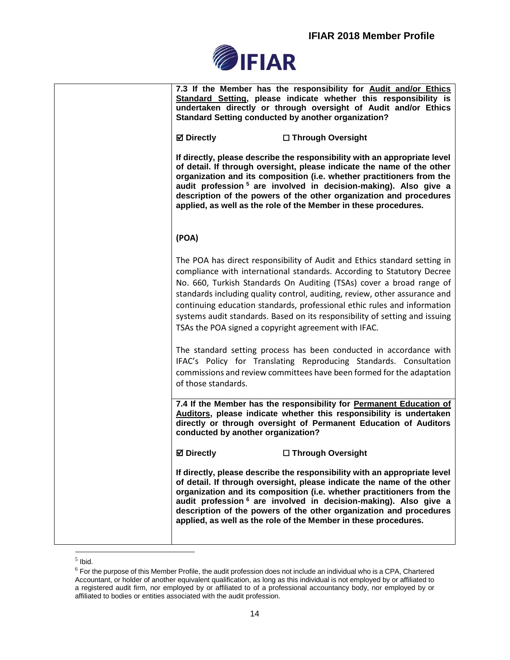

| 7.3 If the Member has the responsibility for Audit and/or Ethics<br>Standard Setting, please indicate whether this responsibility is<br>undertaken directly or through oversight of Audit and/or Ethics<br><b>Standard Setting conducted by another organization?</b><br><b>Ø</b> Directly<br>□ Through Oversight<br>If directly, please describe the responsibility with an appropriate level<br>of detail. If through oversight, please indicate the name of the other<br>organization and its composition (i.e. whether practitioners from the<br>audit profession <sup>5</sup> are involved in decision-making). Also give a |
|----------------------------------------------------------------------------------------------------------------------------------------------------------------------------------------------------------------------------------------------------------------------------------------------------------------------------------------------------------------------------------------------------------------------------------------------------------------------------------------------------------------------------------------------------------------------------------------------------------------------------------|
| description of the powers of the other organization and procedures<br>applied, as well as the role of the Member in these procedures.<br>(POA)                                                                                                                                                                                                                                                                                                                                                                                                                                                                                   |
| The POA has direct responsibility of Audit and Ethics standard setting in<br>compliance with international standards. According to Statutory Decree<br>No. 660, Turkish Standards On Auditing (TSAs) cover a broad range of<br>standards including quality control, auditing, review, other assurance and<br>continuing education standards, professional ethic rules and information<br>systems audit standards. Based on its responsibility of setting and issuing<br>TSAs the POA signed a copyright agreement with IFAC.                                                                                                     |
| The standard setting process has been conducted in accordance with<br>IFAC's Policy for Translating Reproducing Standards. Consultation<br>commissions and review committees have been formed for the adaptation<br>of those standards.                                                                                                                                                                                                                                                                                                                                                                                          |
| 7.4 If the Member has the responsibility for Permanent Education of<br>Auditors, please indicate whether this responsibility is undertaken<br>directly or through oversight of Permanent Education of Auditors<br>conducted by another organization?                                                                                                                                                                                                                                                                                                                                                                             |
| <b>Ø</b> Directly<br>□ Through Oversight                                                                                                                                                                                                                                                                                                                                                                                                                                                                                                                                                                                         |
| If directly, please describe the responsibility with an appropriate level<br>of detail. If through oversight, please indicate the name of the other<br>organization and its composition (i.e. whether practitioners from the<br>audit profession 6 are involved in decision-making). Also give a<br>description of the powers of the other organization and procedures<br>applied, as well as the role of the Member in these procedures.                                                                                                                                                                                        |

 $<sup>5</sup>$  lbid.</sup>

 $6$  For the purpose of this Member Profile, the audit profession does not include an individual who is a CPA, Chartered Accountant, or holder of another equivalent qualification, as long as this individual is not employed by or affiliated to a registered audit firm, nor employed by or affiliated to of a professional accountancy body, nor employed by or affiliated to bodies or entities associated with the audit profession.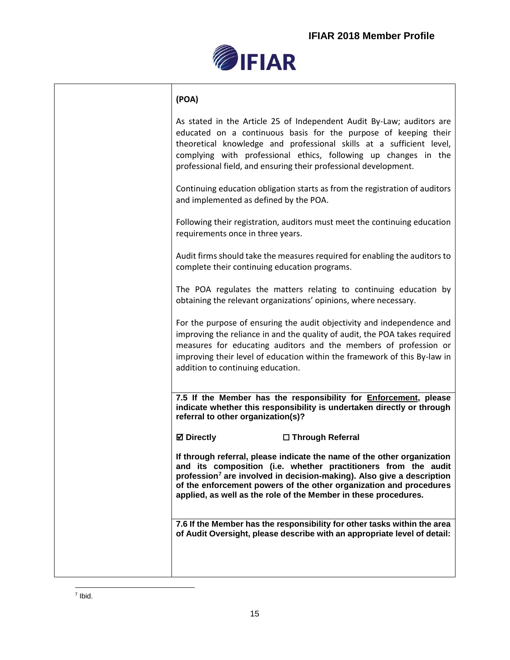

## **(POA)**

As stated in the Article 25 of Independent Audit By-Law; auditors are educated on a continuous basis for the purpose of keeping their theoretical knowledge and professional skills at a sufficient level, complying with professional ethics, following up changes in the professional field, and ensuring their professional development. Continuing education obligation starts as from the registration of auditors and implemented as defined by the POA. Following their registration, auditors must meet the continuing education requirements once in three years. Audit firms should take the measures required for enabling the auditors to complete their continuing education programs. The POA regulates the matters relating to continuing education by obtaining the relevant organizations' opinions, where necessary. For the purpose of ensuring the audit objectivity and independence and improving the reliance in and the quality of audit, the POA takes required measures for educating auditors and the members of profession or improving their level of education within the framework of this By-law in addition to continuing education. **7.5 If the Member has the responsibility for Enforcement, please indicate whether this responsibility is undertaken directly or through referral to other organization(s)? Directly** ☐ **Through Referral If through referral, please indicate the name of the other organization and its composition (i.e. whether practitioners from the audit profession<sup>7</sup> are involved in decision-making). Also give a description of the enforcement powers of the other organization and procedures applied, as well as the role of the Member in these procedures. 7.6 If the Member has the responsibility for other tasks within the area of Audit Oversight, please describe with an appropriate level of detail:**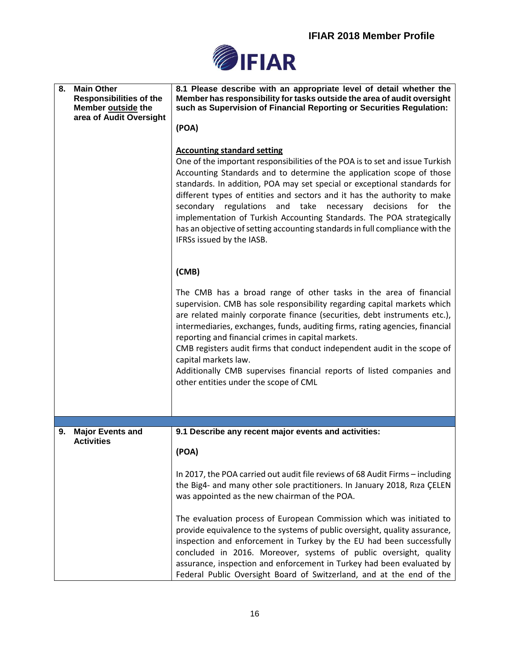

| 8. | <b>Main Other</b><br><b>Responsibilities of the</b><br>Member outside the<br>area of Audit Oversight | 8.1 Please describe with an appropriate level of detail whether the<br>Member has responsibility for tasks outside the area of audit oversight<br>such as Supervision of Financial Reporting or Securities Regulation:<br>(POA)<br><b>Accounting standard setting</b><br>One of the important responsibilities of the POA is to set and issue Turkish<br>Accounting Standards and to determine the application scope of those<br>standards. In addition, POA may set special or exceptional standards for<br>different types of entities and sectors and it has the authority to make<br>secondary regulations and take necessary decisions for the<br>implementation of Turkish Accounting Standards. The POA strategically<br>has an objective of setting accounting standards in full compliance with the<br>IFRSs issued by the IASB. |
|----|------------------------------------------------------------------------------------------------------|-------------------------------------------------------------------------------------------------------------------------------------------------------------------------------------------------------------------------------------------------------------------------------------------------------------------------------------------------------------------------------------------------------------------------------------------------------------------------------------------------------------------------------------------------------------------------------------------------------------------------------------------------------------------------------------------------------------------------------------------------------------------------------------------------------------------------------------------|
|    |                                                                                                      | (CMB)<br>The CMB has a broad range of other tasks in the area of financial<br>supervision. CMB has sole responsibility regarding capital markets which<br>are related mainly corporate finance (securities, debt instruments etc.),<br>intermediaries, exchanges, funds, auditing firms, rating agencies, financial<br>reporting and financial crimes in capital markets.<br>CMB registers audit firms that conduct independent audit in the scope of<br>capital markets law.<br>Additionally CMB supervises financial reports of listed companies and<br>other entities under the scope of CML                                                                                                                                                                                                                                           |
|    |                                                                                                      |                                                                                                                                                                                                                                                                                                                                                                                                                                                                                                                                                                                                                                                                                                                                                                                                                                           |
| 9. | <b>Major Events and</b><br><b>Activities</b>                                                         | 9.1 Describe any recent major events and activities:<br>(POA)<br>In 2017, the POA carried out audit file reviews of 68 Audit Firms - including<br>the Big4- and many other sole practitioners. In January 2018, Riza CELEN<br>was appointed as the new chairman of the POA.<br>The evaluation process of European Commission which was initiated to<br>provide equivalence to the systems of public oversight, quality assurance,<br>inspection and enforcement in Turkey by the EU had been successfully<br>concluded in 2016. Moreover, systems of public oversight, quality<br>assurance, inspection and enforcement in Turkey had been evaluated by<br>Federal Public Oversight Board of Switzerland, and at the end of the                                                                                                           |